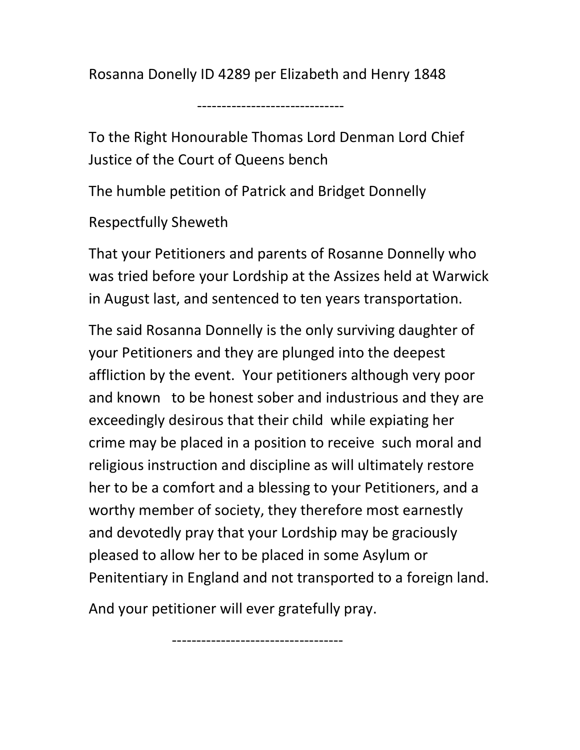Rosanna Donelly ID 4289 per Elizabeth and Henry 1848

------------------------------

To the Right Honourable Thomas Lord Denman Lord Chief Justice of the Court of Queens bench

The humble petition of Patrick and Bridget Donnelly

Respectfully Sheweth

That your Petitioners and parents of Rosanne Donnelly who was tried before your Lordship at the Assizes held at Warwick in August last, and sentenced to ten years transportation.

The said Rosanna Donnelly is the only surviving daughter of your Petitioners and they are plunged into the deepest affliction by the event. Your petitioners although very poor and known to be honest sober and industrious and they are exceedingly desirous that their child while expiating her crime may be placed in a position to receive such moral and religious instruction and discipline as will ultimately restore her to be a comfort and a blessing to your Petitioners, and a worthy member of society, they therefore most earnestly and devotedly pray that your Lordship may be graciously pleased to allow her to be placed in some Asylum or Penitentiary in England and not transported to a foreign land.

And your petitioner will ever gratefully pray.

-----------------------------------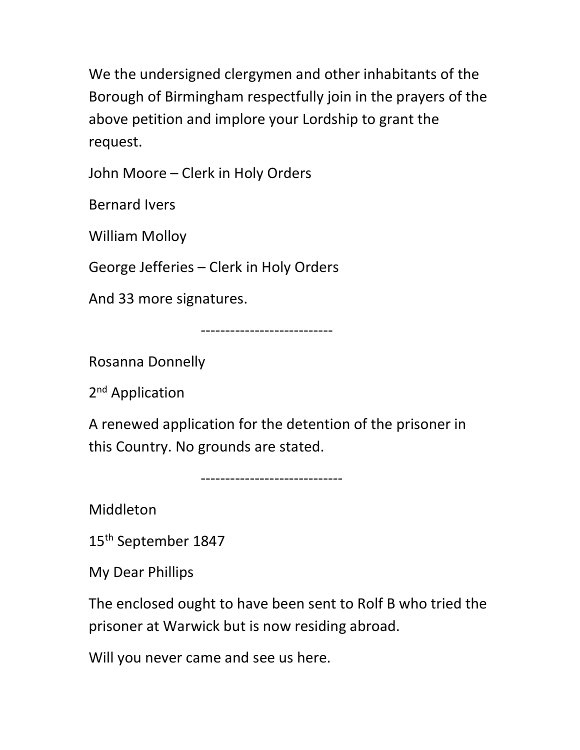We the undersigned clergymen and other inhabitants of the Borough of Birmingham respectfully join in the prayers of the above petition and implore your Lordship to grant the request.

John Moore – Clerk in Holy Orders

Bernard Ivers

William Molloy

George Jefferies – Clerk in Holy Orders

And 33 more signatures.

---------------------------

Rosanna Donnelly

2<sup>nd</sup> Application

A renewed application for the detention of the prisoner in this Country. No grounds are stated.

-----------------------------

Middleton

15th September 1847

My Dear Phillips

The enclosed ought to have been sent to Rolf B who tried the prisoner at Warwick but is now residing abroad.

Will you never came and see us here.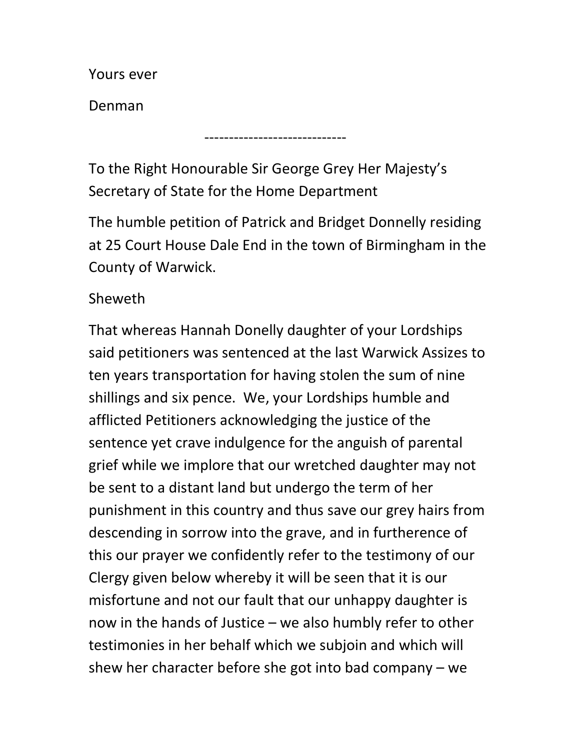Yours ever

Denman

To the Right Honourable Sir George Grey Her Majesty's Secretary of State for the Home Department

-----------------------------

The humble petition of Patrick and Bridget Donnelly residing at 25 Court House Dale End in the town of Birmingham in the County of Warwick.

Sheweth

That whereas Hannah Donelly daughter of your Lordships said petitioners was sentenced at the last Warwick Assizes to ten years transportation for having stolen the sum of nine shillings and six pence. We, your Lordships humble and afflicted Petitioners acknowledging the justice of the sentence yet crave indulgence for the anguish of parental grief while we implore that our wretched daughter may not be sent to a distant land but undergo the term of her punishment in this country and thus save our grey hairs from descending in sorrow into the grave, and in furtherence of this our prayer we confidently refer to the testimony of our Clergy given below whereby it will be seen that it is our misfortune and not our fault that our unhappy daughter is now in the hands of Justice – we also humbly refer to other testimonies in her behalf which we subjoin and which will shew her character before she got into bad company – we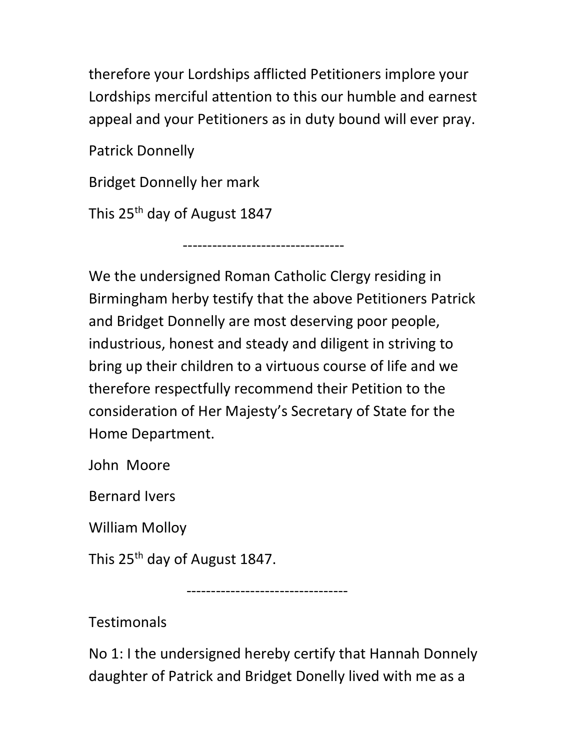therefore your Lordships afflicted Petitioners implore your Lordships merciful attention to this our humble and earnest appeal and your Petitioners as in duty bound will ever pray.

Patrick Donnelly

Bridget Donnelly her mark

This 25th day of August 1847

We the undersigned Roman Catholic Clergy residing in Birmingham herby testify that the above Petitioners Patrick and Bridget Donnelly are most deserving poor people, industrious, honest and steady and diligent in striving to bring up their children to a virtuous course of life and we therefore respectfully recommend their Petition to the consideration of Her Majesty's Secretary of State for the Home Department.

---------------------------------

John Moore

Bernard Ivers

William Molloy

This 25<sup>th</sup> day of August 1847.

---------------------------------

**Testimonals** 

No 1: I the undersigned hereby certify that Hannah Donnely daughter of Patrick and Bridget Donelly lived with me as a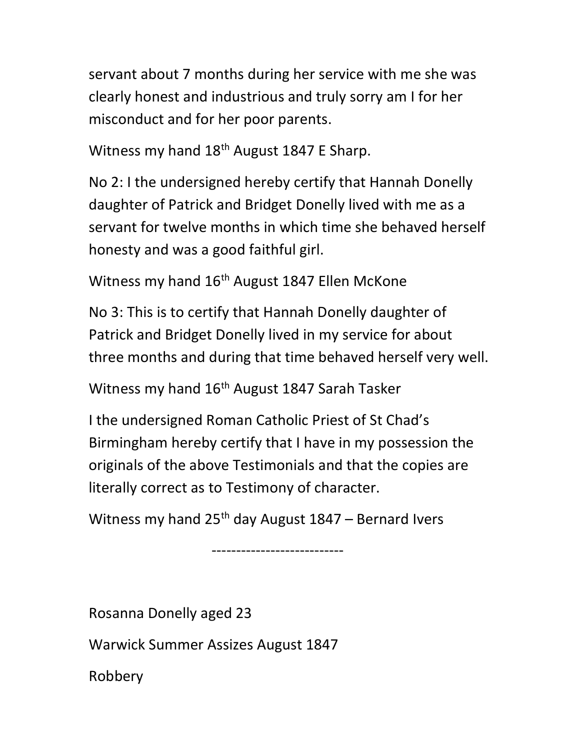servant about 7 months during her service with me she was clearly honest and industrious and truly sorry am I for her misconduct and for her poor parents.

Witness my hand  $18<sup>th</sup>$  August 1847 E Sharp.

No 2: I the undersigned hereby certify that Hannah Donelly daughter of Patrick and Bridget Donelly lived with me as a servant for twelve months in which time she behaved herself honesty and was a good faithful girl.

Witness my hand 16<sup>th</sup> August 1847 Ellen McKone

No 3: This is to certify that Hannah Donelly daughter of Patrick and Bridget Donelly lived in my service for about three months and during that time behaved herself very well.

Witness my hand 16<sup>th</sup> August 1847 Sarah Tasker

I the undersigned Roman Catholic Priest of St Chad's Birmingham hereby certify that I have in my possession the originals of the above Testimonials and that the copies are literally correct as to Testimony of character.

Witness my hand  $25<sup>th</sup>$  day August 1847 – Bernard Ivers

---------------------------

Rosanna Donelly aged 23

Warwick Summer Assizes August 1847

Robbery